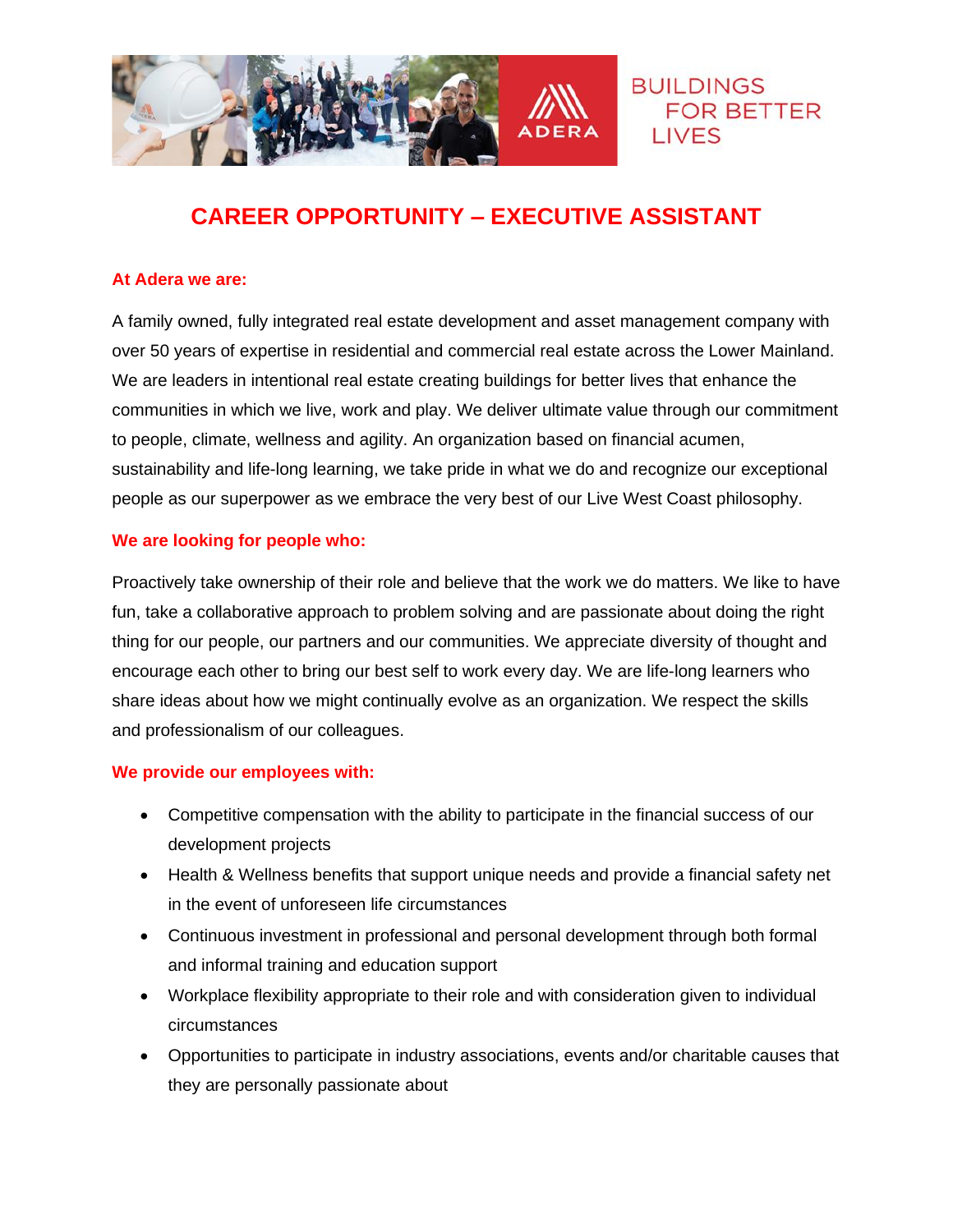

# **CAREER OPPORTUNITY – EXECUTIVE ASSISTANT**

## **At Adera we are:**

A family owned, fully integrated real estate development and asset management company with over 50 years of expertise in residential and commercial real estate across the Lower Mainland. We are leaders in intentional real estate creating buildings for better lives that enhance the communities in which we live, work and play. We deliver ultimate value through our commitment to people, climate, wellness and agility. An organization based on financial acumen, sustainability and life-long learning, we take pride in what we do and recognize our exceptional people as our superpower as we embrace the very best of our Live West Coast philosophy.

#### **We are looking for people who:**

Proactively take ownership of their role and believe that the work we do matters. We like to have fun, take a collaborative approach to problem solving and are passionate about doing the right thing for our people, our partners and our communities. We appreciate diversity of thought and encourage each other to bring our best self to work every day. We are life-long learners who share ideas about how we might continually evolve as an organization. We respect the skills and professionalism of our colleagues.

## **We provide our employees with:**

- Competitive compensation with the ability to participate in the financial success of our development projects
- Health & Wellness benefits that support unique needs and provide a financial safety net in the event of unforeseen life circumstances
- Continuous investment in professional and personal development through both formal and informal training and education support
- Workplace flexibility appropriate to their role and with consideration given to individual circumstances
- Opportunities to participate in industry associations, events and/or charitable causes that they are personally passionate about